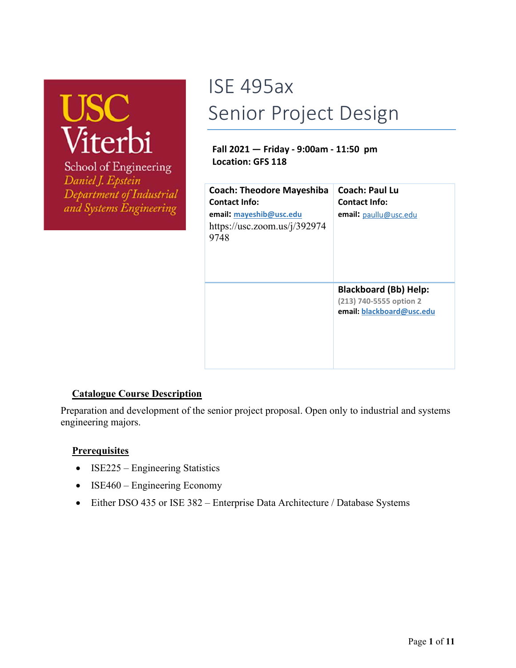# USC<br>Viterbi

School of Engineering Daniel J. Epstein Department of Industrial and Systems Engineering

## ISE 495ax Senior Project Design

#### **Fall 2021 — Friday - 9:00am - 11:50 pm Location: GFS 118**

| <b>Coach: Theodore Mayeshiba</b><br><b>Contact Info:</b><br>email: mayeshib@usc.edu<br>https://usc.zoom.us/ $i/392974$<br>9748 | Coach: Paul Lu<br>Contact Info:<br>email: paullu@usc.edu                             |
|--------------------------------------------------------------------------------------------------------------------------------|--------------------------------------------------------------------------------------|
|                                                                                                                                | <b>Blackboard (Bb) Help:</b><br>(213) 740-5555 option 2<br>email: blackboard@usc.edu |

#### **Catalogue Course Description**

Preparation and development of the senior project proposal. Open only to industrial and systems engineering majors.

#### **Prerequisites**

- ISE225 Engineering Statistics
- ISE460 Engineering Economy
- Either DSO 435 or ISE 382 Enterprise Data Architecture / Database Systems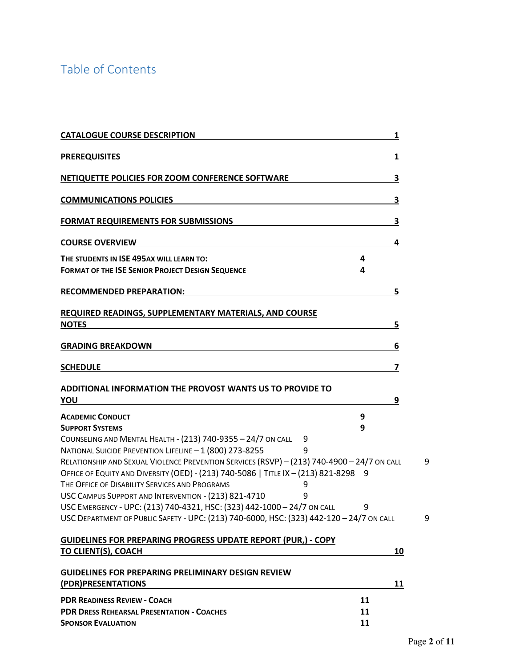### Table of Contents

| <b>CATALOGUE COURSE DESCRIPTION</b>                                                                                                                                                                                                                                                                                                                                                                                                                                                                                                              | 1      |
|--------------------------------------------------------------------------------------------------------------------------------------------------------------------------------------------------------------------------------------------------------------------------------------------------------------------------------------------------------------------------------------------------------------------------------------------------------------------------------------------------------------------------------------------------|--------|
| <b>PREREQUISITES</b>                                                                                                                                                                                                                                                                                                                                                                                                                                                                                                                             | 1      |
| NETIQUETTE POLICIES FOR ZOOM CONFERENCE SOFTWARE                                                                                                                                                                                                                                                                                                                                                                                                                                                                                                 | 3      |
| <b>COMMUNICATIONS POLICIES</b>                                                                                                                                                                                                                                                                                                                                                                                                                                                                                                                   | 3      |
| <b>FORMAT REQUIREMENTS FOR SUBMISSIONS</b>                                                                                                                                                                                                                                                                                                                                                                                                                                                                                                       | 3      |
| <b>COURSE OVERVIEW</b>                                                                                                                                                                                                                                                                                                                                                                                                                                                                                                                           | 4      |
| THE STUDENTS IN ISE 495AX WILL LEARN TO:<br><b>FORMAT OF THE ISE SENIOR PROJECT DESIGN SEQUENCE</b>                                                                                                                                                                                                                                                                                                                                                                                                                                              | 4<br>4 |
| RECOMMENDED PREPARATION:                                                                                                                                                                                                                                                                                                                                                                                                                                                                                                                         | 5      |
| REQUIRED READINGS, SUPPLEMENTARY MATERIALS, AND COURSE<br><b>NOTES</b>                                                                                                                                                                                                                                                                                                                                                                                                                                                                           | 5      |
| <b>GRADING BREAKDOWN</b>                                                                                                                                                                                                                                                                                                                                                                                                                                                                                                                         | 6      |
| SCHEDULE                                                                                                                                                                                                                                                                                                                                                                                                                                                                                                                                         | 7      |
| ADDITIONAL INFORMATION THE PROVOST WANTS US TO PROVIDE TO<br>ΥΟU                                                                                                                                                                                                                                                                                                                                                                                                                                                                                 | 9      |
| <b>ACADEMIC CONDUCT</b>                                                                                                                                                                                                                                                                                                                                                                                                                                                                                                                          | 9      |
| <b>SUPPORT SYSTEMS</b><br>COUNSELING AND MENTAL HEALTH - (213) 740-9355 - 24/7 ON CALL<br>9<br>NATIONAL SUICIDE PREVENTION LIFELINE - 1 (800) 273-8255<br>9<br>RELATIONSHIP AND SEXUAL VIOLENCE PREVENTION SERVICES (RSVP) - (213) 740-4900 - 24/7 ON CALL<br>OFFICE OF EQUITY AND DIVERSITY (OED) - (213) 740-5086   TITLE IX - (213) 821-8298 9<br>THE OFFICE OF DISABILITY SERVICES AND PROGRAMS<br>9<br>USC CAMPUS SUPPORT AND INTERVENTION - (213) 821-4710<br>9<br>USC EMERGENCY - UPC: (213) 740-4321, HSC: (323) 442-1000 - 24/7 ON CALL | 9      |
| USC DEPARTMENT OF PUBLIC SAFETY - UPC: (213) 740-6000, HSC: (323) 442-120 - 24/7 ON CALL                                                                                                                                                                                                                                                                                                                                                                                                                                                         |        |
| GUIDELINES FOR PREPARING PROGRESS UPDATE REPORT (PUR,) - COPY<br>TO CLIENT(S), COACH                                                                                                                                                                                                                                                                                                                                                                                                                                                             | 10     |
| GUIDELINES FOR PREPARING PRELIMINARY DESIGN REVIEW<br>(PDR)PRESENTATIONS                                                                                                                                                                                                                                                                                                                                                                                                                                                                         | 11     |
| <b>PDR READINESS REVIEW - COACH</b>                                                                                                                                                                                                                                                                                                                                                                                                                                                                                                              | 11     |
| PDR DRESS REHEARSAL PRESENTATION - COACHES                                                                                                                                                                                                                                                                                                                                                                                                                                                                                                       | 11     |
| <b>SPONSOR EVALUATION</b>                                                                                                                                                                                                                                                                                                                                                                                                                                                                                                                        | 11     |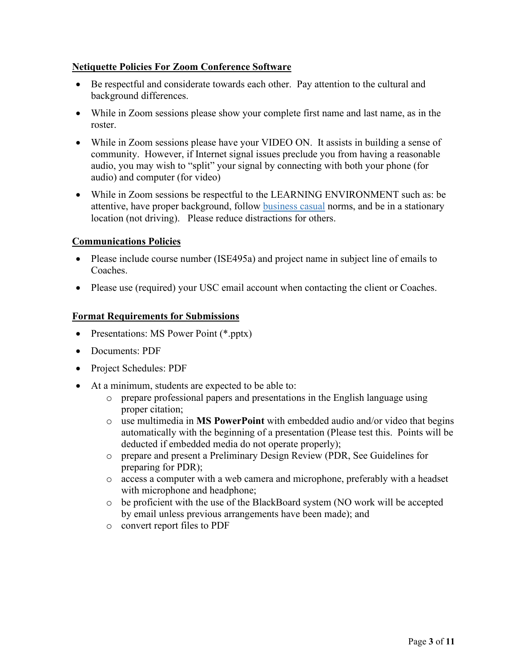#### **Netiquette Policies For Zoom Conference Software**

- Be respectful and considerate towards each other. Pay attention to the cultural and background differences.
- While in Zoom sessions please show your complete first name and last name, as in the roster.
- While in Zoom sessions please have your VIDEO ON. It assists in building a sense of community. However, if Internet signal issues preclude you from having a reasonable audio, you may wish to "split" your signal by connecting with both your phone (for audio) and computer (for video)
- While in Zoom sessions be respectful to the LEARNING ENVIRONMENT such as: be attentive, have proper background, follow business casual norms, and be in a stationary location (not driving). Please reduce distractions for others.

#### **Communications Policies**

- Please include course number (ISE495a) and project name in subject line of emails to Coaches.
- Please use (required) your USC email account when contacting the client or Coaches.

#### **Format Requirements for Submissions**

- Presentations: MS Power Point (\*.pptx)
- Documents: PDF
- Project Schedules: PDF
- At a minimum, students are expected to be able to:
	- o prepare professional papers and presentations in the English language using proper citation;
	- o use multimedia in **MS PowerPoint** with embedded audio and/or video that begins automatically with the beginning of a presentation (Please test this. Points will be deducted if embedded media do not operate properly);
	- o prepare and present a Preliminary Design Review (PDR, See Guidelines for preparing for PDR);
	- o access a computer with a web camera and microphone, preferably with a headset with microphone and headphone;
	- o be proficient with the use of the BlackBoard system (NO work will be accepted by email unless previous arrangements have been made); and
	- o convert report files to PDF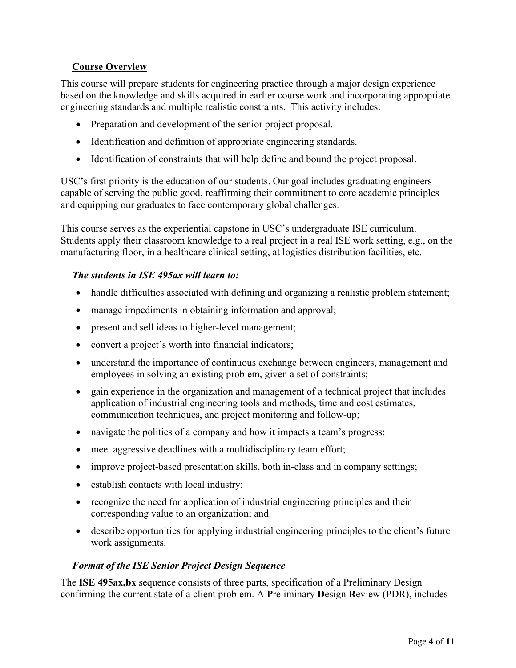#### **Course Overview**

This course will prepare students for engineering practice through a major design experience based on the knowledge and skills acquired in earlier course work and incorporating appropriate engineering standards and multiple realistic constraints. This activity includes:

- Preparation and development of the senior project proposal.
- Identification and definition of appropriate engineering standards.
- Identification of constraints that will help define and bound the project proposal.

USC's first priority is the education of our students. Our goal includes graduating engineers capable of serving the public good, reaffirming their commitment to core academic principles and equipping our graduates to face contemporary global challenges.

This course serves as the experiential capstone in USC's undergraduate ISE curriculum. Students apply their classroom knowledge to a real project in a real ISE work setting, e.g., on the manufacturing floor, in a healthcare clinical setting, at logistics distribution facilities, etc.

#### *The students in ISE 495ax will learn to:*

- handle difficulties associated with defining and organizing a realistic problem statement;
- manage impediments in obtaining information and approval;
- present and sell ideas to higher-level management;
- convert a project's worth into financial indicators;
- understand the importance of continuous exchange between engineers, management and employees in solving an existing problem, given a set of constraints;
- gain experience in the organization and management of a technical project that includes application of industrial engineering tools and methods, time and cost estimates, communication techniques, and project monitoring and follow-up;
- navigate the politics of a company and how it impacts a team's progress;
- meet aggressive deadlines with a multidisciplinary team effort;
- improve project-based presentation skills, both in-class and in company settings;
- establish contacts with local industry;
- recognize the need for application of industrial engineering principles and their corresponding value to an organization; and
- describe opportunities for applying industrial engineering principles to the client's future work assignments.

#### *Format of the ISE Senior Project Design Sequence*

The **ISE 495ax,bx** sequence consists of three parts, specification of a Preliminary Design confirming the current state of a client problem. A **P**reliminary **D**esign **R**eview (PDR), includes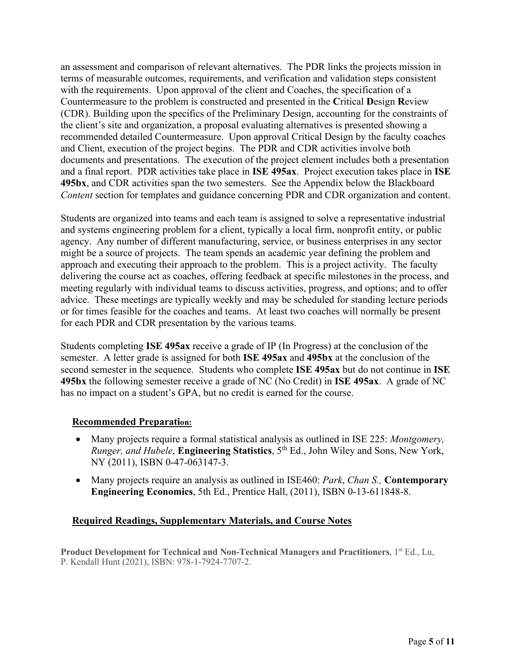an assessment and comparison of relevant alternatives. The PDR links the projects mission in terms of measurable outcomes, requirements, and verification and validation steps consistent with the requirements. Upon approval of the client and Coaches, the specification of a Countermeasure to the problem is constructed and presented in the **C**ritical **D**esign **R**eview (CDR). Building upon the specifics of the Preliminary Design, accounting for the constraints of the client's site and organization, a proposal evaluating alternatives is presented showing a recommended detailed Countermeasure. Upon approval Critical Design by the faculty coaches and Client, execution of the project begins. The PDR and CDR activities involve both documents and presentations. The execution of the project element includes both a presentation and a final report. PDR activities take place in **ISE 495ax**. Project execution takes place in **ISE 495bx**, and CDR activities span the two semesters. See the Appendix below the Blackboard *Content* section for templates and guidance concerning PDR and CDR organization and content.

Students are organized into teams and each team is assigned to solve a representative industrial and systems engineering problem for a client, typically a local firm, nonprofit entity, or public agency. Any number of different manufacturing, service, or business enterprises in any sector might be a source of projects. The team spends an academic year defining the problem and approach and executing their approach to the problem. This is a project activity. The faculty delivering the course act as coaches, offering feedback at specific milestones in the process, and meeting regularly with individual teams to discuss activities, progress, and options; and to offer advice. These meetings are typically weekly and may be scheduled for standing lecture periods or for times feasible for the coaches and teams. At least two coaches will normally be present for each PDR and CDR presentation by the various teams.

Students completing **ISE 495ax** receive a grade of IP (In Progress) at the conclusion of the semester. A letter grade is assigned for both **ISE 495ax** and **495bx** at the conclusion of the second semester in the sequence. Students who complete **ISE 495ax** but do not continue in **ISE 495bx** the following semester receive a grade of NC (No Credit) in **ISE 495ax**. A grade of NC has no impact on a student's GPA, but no credit is earned for the course.

#### **Recommended Preparation:**

- Many projects require a formal statistical analysis as outlined in ISE 225: *Montgomery, Runger, and Hubele*, **Engineering Statistics**, 5th Ed., John Wiley and Sons, New York, NY (2011), ISBN 0-47-063147-3.
- Many projects require an analysis as outlined in ISE460: *Park*, *Chan S.,* **Contemporary Engineering Economics**, 5th Ed., Prentice Hall, (2011), ISBN 0-13-611848-8.

#### **Required Readings, Supplementary Materials, and Course Notes**

Product Development for Technical and Non-Technical Managers and Practitioners, 1<sup>st</sup> Ed., Lu, P. Kendall Hunt (2021), ISBN: 978-1-7924-7707-2.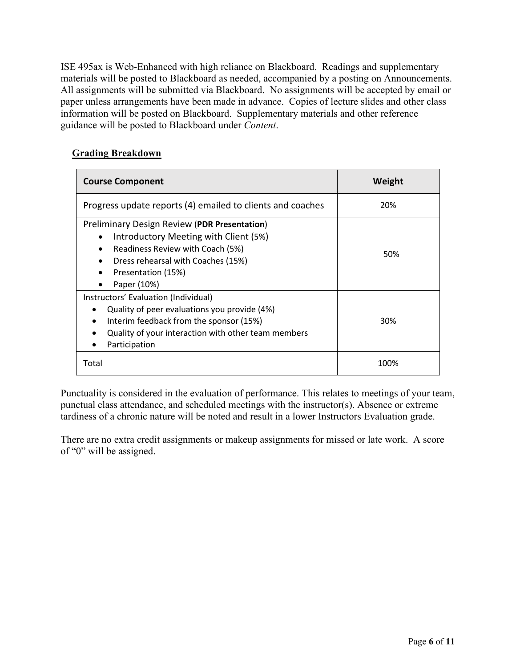ISE 495ax is Web-Enhanced with high reliance on Blackboard. Readings and supplementary materials will be posted to Blackboard as needed, accompanied by a posting on Announcements. All assignments will be submitted via Blackboard. No assignments will be accepted by email or paper unless arrangements have been made in advance. Copies of lecture slides and other class information will be posted on Blackboard. Supplementary materials and other reference guidance will be posted to Blackboard under *Content*.

#### **Grading Breakdown**

| <b>Course Component</b>                                                                                                                                                                                                                     | Weight |
|---------------------------------------------------------------------------------------------------------------------------------------------------------------------------------------------------------------------------------------------|--------|
| Progress update reports (4) emailed to clients and coaches                                                                                                                                                                                  | 20%    |
| Preliminary Design Review (PDR Presentation)<br>Introductory Meeting with Client (5%)<br>$\bullet$<br>Readiness Review with Coach (5%)<br>$\bullet$<br>Dress rehearsal with Coaches (15%)<br>Presentation (15%)<br>Paper (10%)<br>$\bullet$ | 50%    |
| Instructors' Evaluation (Individual)<br>Quality of peer evaluations you provide (4%)<br>Interim feedback from the sponsor (15%)<br>$\bullet$<br>Quality of your interaction with other team members<br>Participation                        | 30%    |
| Total                                                                                                                                                                                                                                       | 100%   |

Punctuality is considered in the evaluation of performance. This relates to meetings of your team, punctual class attendance, and scheduled meetings with the instructor(s). Absence or extreme tardiness of a chronic nature will be noted and result in a lower Instructors Evaluation grade.

There are no extra credit assignments or makeup assignments for missed or late work. A score of "0" will be assigned.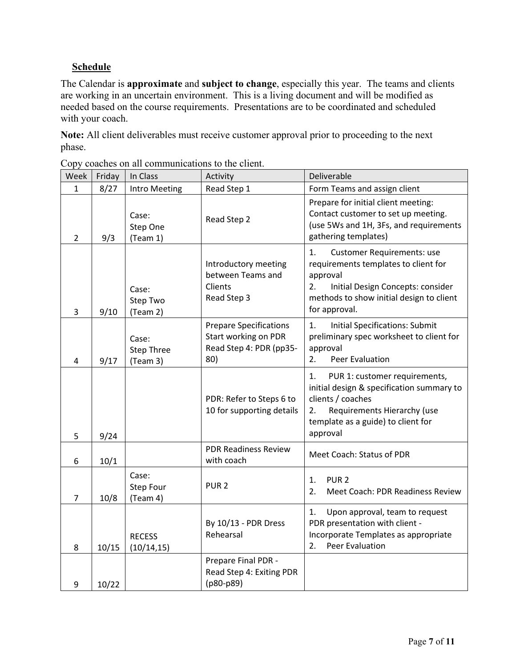#### **Schedule**

The Calendar is **approximate** and **subject to change**, especially this year. The teams and clients are working in an uncertain environment. This is a living document and will be modified as needed based on the course requirements. Presentations are to be coordinated and scheduled with your coach.

**Note:** All client deliverables must receive customer approval prior to proceeding to the next phase.

| Week           | Friday | In Class                               | Activity                                                                                | Deliverable                                                                                                                                                                                         |
|----------------|--------|----------------------------------------|-----------------------------------------------------------------------------------------|-----------------------------------------------------------------------------------------------------------------------------------------------------------------------------------------------------|
| $\mathbf{1}$   | 8/27   | Intro Meeting                          | Read Step 1                                                                             | Form Teams and assign client                                                                                                                                                                        |
| $\overline{2}$ | 9/3    | Case:<br>Step One<br>(Team 1)          | Read Step 2                                                                             | Prepare for initial client meeting:<br>Contact customer to set up meeting.<br>(use 5Ws and 1H, 3Fs, and requirements<br>gathering templates)                                                        |
| 3              | 9/10   | Case:<br>Step Two<br>(Team 2)          | Introductory meeting<br>between Teams and<br>Clients<br>Read Step 3                     | <b>Customer Requirements: use</b><br>1.<br>requirements templates to client for<br>approval<br>Initial Design Concepts: consider<br>2.<br>methods to show initial design to client<br>for approval. |
| 4              | 9/17   | Case:<br><b>Step Three</b><br>(Team 3) | <b>Prepare Specifications</b><br>Start working on PDR<br>Read Step 4: PDR (pp35-<br>80) | <b>Initial Specifications: Submit</b><br>1.<br>preliminary spec worksheet to client for<br>approval<br>Peer Evaluation<br>2.                                                                        |
| 5              | 9/24   |                                        | PDR: Refer to Steps 6 to<br>10 for supporting details                                   | PUR 1: customer requirements,<br>1.<br>initial design & specification summary to<br>clients / coaches<br>Requirements Hierarchy (use<br>2.<br>template as a guide) to client for<br>approval        |
| 6              | 10/1   |                                        | <b>PDR Readiness Review</b><br>with coach                                               | Meet Coach: Status of PDR                                                                                                                                                                           |
| 7              | 10/8   | Case:<br>Step Four<br>(Team 4)         | PUR <sub>2</sub>                                                                        | PUR <sub>2</sub><br>1.<br>2.<br>Meet Coach: PDR Readiness Review                                                                                                                                    |
| 8              | 10/15  | <b>RECESS</b><br>(10/14, 15)           | By 10/13 - PDR Dress<br>Rehearsal                                                       | 1.<br>Upon approval, team to request<br>PDR presentation with client -<br>Incorporate Templates as appropriate<br><b>Peer Evaluation</b><br>2.                                                      |
| 9              | 10/22  |                                        | Prepare Final PDR -<br>Read Step 4: Exiting PDR<br>(p80-p89)                            |                                                                                                                                                                                                     |

Copy coaches on all communications to the client.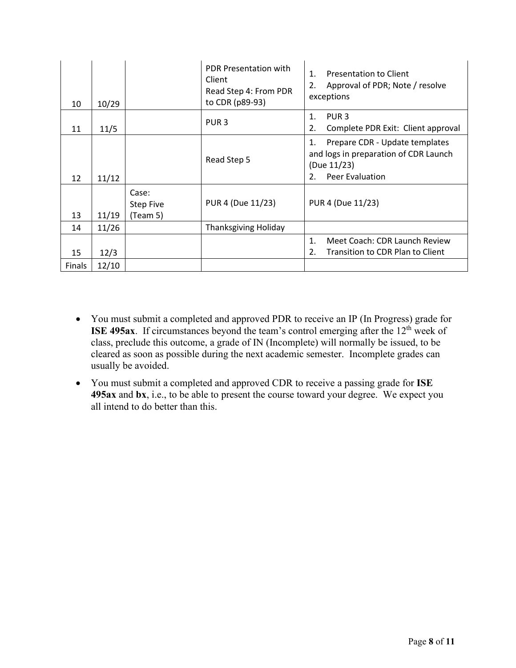| 10            | 10/29 |                                       | <b>PDR Presentation with</b><br>Client<br>Read Step 4: From PDR<br>to CDR (p89-93) | Presentation to Client<br>$\mathbf{1}$ .<br>2.<br>Approval of PDR; Note / resolve<br>exceptions                       |
|---------------|-------|---------------------------------------|------------------------------------------------------------------------------------|-----------------------------------------------------------------------------------------------------------------------|
| 11            | 11/5  |                                       | PUR <sub>3</sub>                                                                   | PUR <sub>3</sub><br>$\mathbf{1}$ .<br>2.<br>Complete PDR Exit: Client approval                                        |
| 12            | 11/12 |                                       | Read Step 5                                                                        | Prepare CDR - Update templates<br>1.<br>and logs in preparation of CDR Launch<br>(Due 11/23)<br>Peer Evaluation<br>2. |
| 13            | 11/19 | Case:<br><b>Step Five</b><br>(Team 5) | PUR 4 (Due 11/23)                                                                  | PUR 4 (Due 11/23)                                                                                                     |
| 14            | 11/26 |                                       | Thanksgiving Holiday                                                               |                                                                                                                       |
| 15            | 12/3  |                                       |                                                                                    | Meet Coach: CDR Launch Review<br>1.<br>2.<br>Transition to CDR Plan to Client                                         |
| <b>Finals</b> | 12/10 |                                       |                                                                                    |                                                                                                                       |

- You must submit a completed and approved PDR to receive an IP (In Progress) grade for **ISE 495ax**. If circumstances beyond the team's control emerging after the 12<sup>th</sup> week of class, preclude this outcome, a grade of IN (Incomplete) will normally be issued, to be cleared as soon as possible during the next academic semester. Incomplete grades can usually be avoided.
- You must submit a completed and approved CDR to receive a passing grade for **ISE 495ax** and **bx**, i.e., to be able to present the course toward your degree. We expect you all intend to do better than this.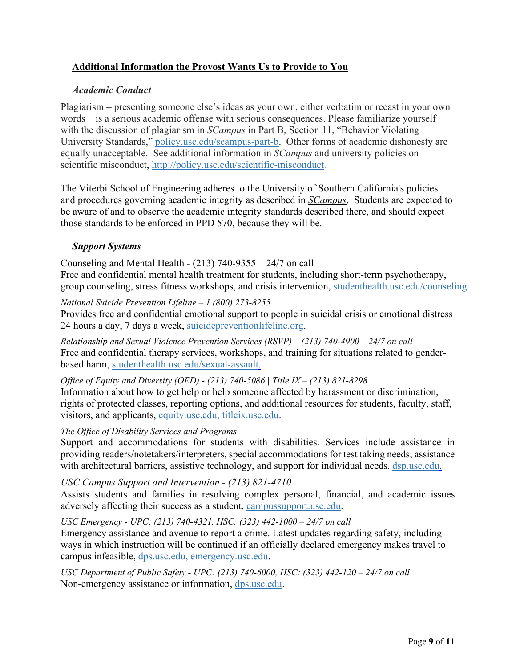#### **Additional Information the Provost Wants Us to Provide to You**

#### *Academic Conduct*

Plagiarism – presenting someone else's ideas as your own, either verbatim or recast in your own words – is a serious academic offense with serious consequences. Please familiarize yourself with the discussion of plagiarism in *SCampus* in Part B, Section 11, "Behavior Violating University Standards," policy.usc.edu/scampus-part-b. Other forms of academic dishonesty are equally unacceptable. See additional information in *SCampus* and university policies on scientific misconduct, http://policy.usc.edu/scientific-misconduct.

The Viterbi School of Engineering adheres to the University of Southern California's policies and procedures governing academic integrity as described in *SCampus*. Students are expected to be aware of and to observe the academic integrity standards described there, and should expect those standards to be enforced in PPD 570, because they will be.

#### *Support Systems*

Counseling and Mental Health - (213) 740-9355 – 24/7 on call

Free and confidential mental health treatment for students, including short-term psychotherapy, group counseling, stress fitness workshops, and crisis intervention, studenthealth.usc.edu/counseling.

#### *National Suicide Prevention Lifeline – 1 (800) 273-8255*

Provides free and confidential emotional support to people in suicidal crisis or emotional distress 24 hours a day, 7 days a week, suicidepreventionlifeline.org.

*Relationship and Sexual Violence Prevention Services (RSVP) – (213) 740-4900 – 24/7 on call*  Free and confidential therapy services, workshops, and training for situations related to genderbased harm, studenthealth.usc.edu/sexual-assault.

*Office of Equity and Diversity (OED) - (213) 740-5086 | Title IX – (213) 821-8298*  Information about how to get help or help someone affected by harassment or discrimination, rights of protected classes, reporting options, and additional resources for students, faculty, staff, visitors, and applicants, equity.usc.edu, titleix.usc.edu.

#### *The Office of Disability Services and Programs*

Support and accommodations for students with disabilities. Services include assistance in providing readers/notetakers/interpreters, special accommodations for test taking needs, assistance with architectural barriers, assistive technology, and support for individual needs. dsp.usc.edu.

#### *USC Campus Support and Intervention - (213) 821-4710*

Assists students and families in resolving complex personal, financial, and academic issues adversely affecting their success as a student, campussupport.usc.edu.

#### *USC Emergency - UPC: (213) 740-4321, HSC: (323) 442-1000 – 24/7 on call*

Emergency assistance and avenue to report a crime. Latest updates regarding safety, including ways in which instruction will be continued if an officially declared emergency makes travel to campus infeasible, dps.usc.edu, emergency.usc.edu.

*USC Department of Public Safety - UPC: (213) 740-6000, HSC: (323) 442-120 – 24/7 on call*  Non-emergency assistance or information, dps.usc.edu.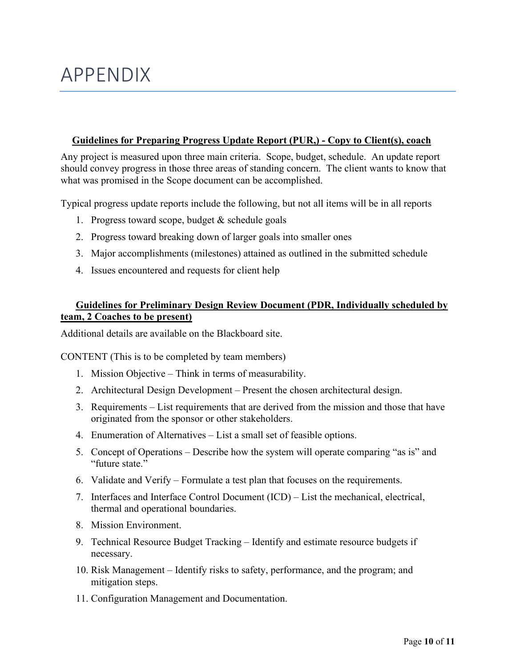## APPENDIX

#### **Guidelines for Preparing Progress Update Report (PUR,) - Copy to Client(s), coach**

Any project is measured upon three main criteria. Scope, budget, schedule. An update report should convey progress in those three areas of standing concern. The client wants to know that what was promised in the Scope document can be accomplished.

Typical progress update reports include the following, but not all items will be in all reports

- 1. Progress toward scope, budget & schedule goals
- 2. Progress toward breaking down of larger goals into smaller ones
- 3. Major accomplishments (milestones) attained as outlined in the submitted schedule
- 4. Issues encountered and requests for client help

#### **Guidelines for Preliminary Design Review Document (PDR, Individually scheduled by team, 2 Coaches to be present)**

Additional details are available on the Blackboard site.

CONTENT (This is to be completed by team members)

- 1. Mission Objective Think in terms of measurability.
- 2. Architectural Design Development Present the chosen architectural design.
- 3. Requirements List requirements that are derived from the mission and those that have originated from the sponsor or other stakeholders.
- 4. Enumeration of Alternatives List a small set of feasible options.
- 5. Concept of Operations Describe how the system will operate comparing "as is" and "future state."
- 6. Validate and Verify Formulate a test plan that focuses on the requirements.
- 7. Interfaces and Interface Control Document (ICD) List the mechanical, electrical, thermal and operational boundaries.
- 8. Mission Environment.
- 9. Technical Resource Budget Tracking Identify and estimate resource budgets if necessary.
- 10. Risk Management Identify risks to safety, performance, and the program; and mitigation steps.
- 11. Configuration Management and Documentation.